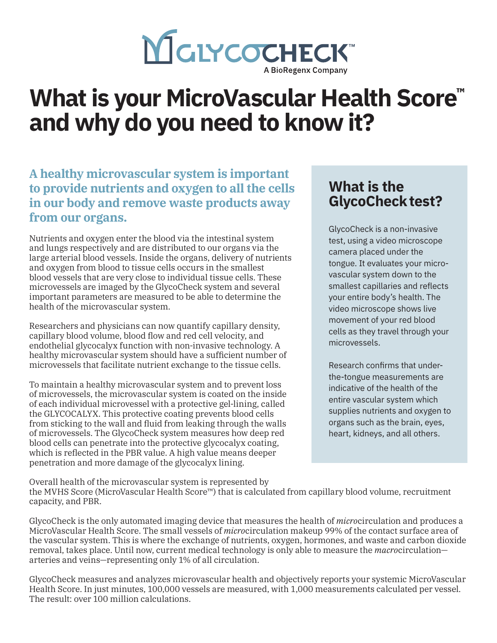

## **What is your MicroVascular Health Score™ and why do you need to know it?**

**A healthy microvascular system is important to provide nutrients and oxygen to all the cells in our body and remove waste products away from our organs.**

Nutrients and oxygen enter the blood via the intestinal system and lungs respectively and are distributed to our organs via the large arterial blood vessels. Inside the organs, delivery of nutrients and oxygen from blood to tissue cells occurs in the smallest blood vessels that are very close to individual tissue cells. These microvessels are imaged by the GlycoCheck system and several important parameters are measured to be able to determine the health of the microvascular system.

Researchers and physicians can now quantify capillary density, capillary blood volume, blood flow and red cell velocity, and endothelial glycocalyx function with non-invasive technology. A healthy microvascular system should have a sufficient number of microvessels that facilitate nutrient exchange to the tissue cells.

To maintain a healthy microvascular system and to prevent loss of microvessels, the microvascular system is coated on the inside of each individual microvessel with a protective gel-lining, called the GLYCOCALYX. This protective coating prevents blood cells from sticking to the wall and fluid from leaking through the walls of microvessels. The GlycoCheck system measures how deep red blood cells can penetrate into the protective glycocalyx coating, which is reflected in the PBR value. A high value means deeper penetration and more damage of the glycocalyx lining.

## **What is the GlycoChecktest?**

GlycoCheck is a non-invasive test, using a video microscope camera placed under the tongue. It evaluates your microvascular system down to the smallest capillaries and reflects your entire body's health. The video microscope shows live movement of your red blood cells as they travel through your microvessels.

Research confirms that underthe-tongue measurements are indicative of the health of the entire vascular system which supplies nutrients and oxygen to organs such as the brain, eyes, heart, kidneys, and all others.

Overall health of the microvascular system is represented by the MVHS Score (MicroVascular Health Score™) that is calculated from capillary blood volume, recruitment capacity, and PBR.

GlycoCheck is the only automated imaging device that measures the health of *micro*circulation and produces a MicroVascular Health Score. The small vessels of *micro*circulation makeup 99% of the contact surface area of the vascular system. This is where the exchange of nutrients, oxygen, hormones, and waste and carbon dioxide removal, takes place. Until now, current medical technology is only able to measure the *macro*circulation arteries and veins—representing only 1% of all circulation.

GlycoCheck measures and analyzes microvascular health and objectively reports your systemic MicroVascular Health Score. In just minutes, 100,000 vessels are measured, with 1,000 measurements calculated per vessel. The result: over 100 million calculations.